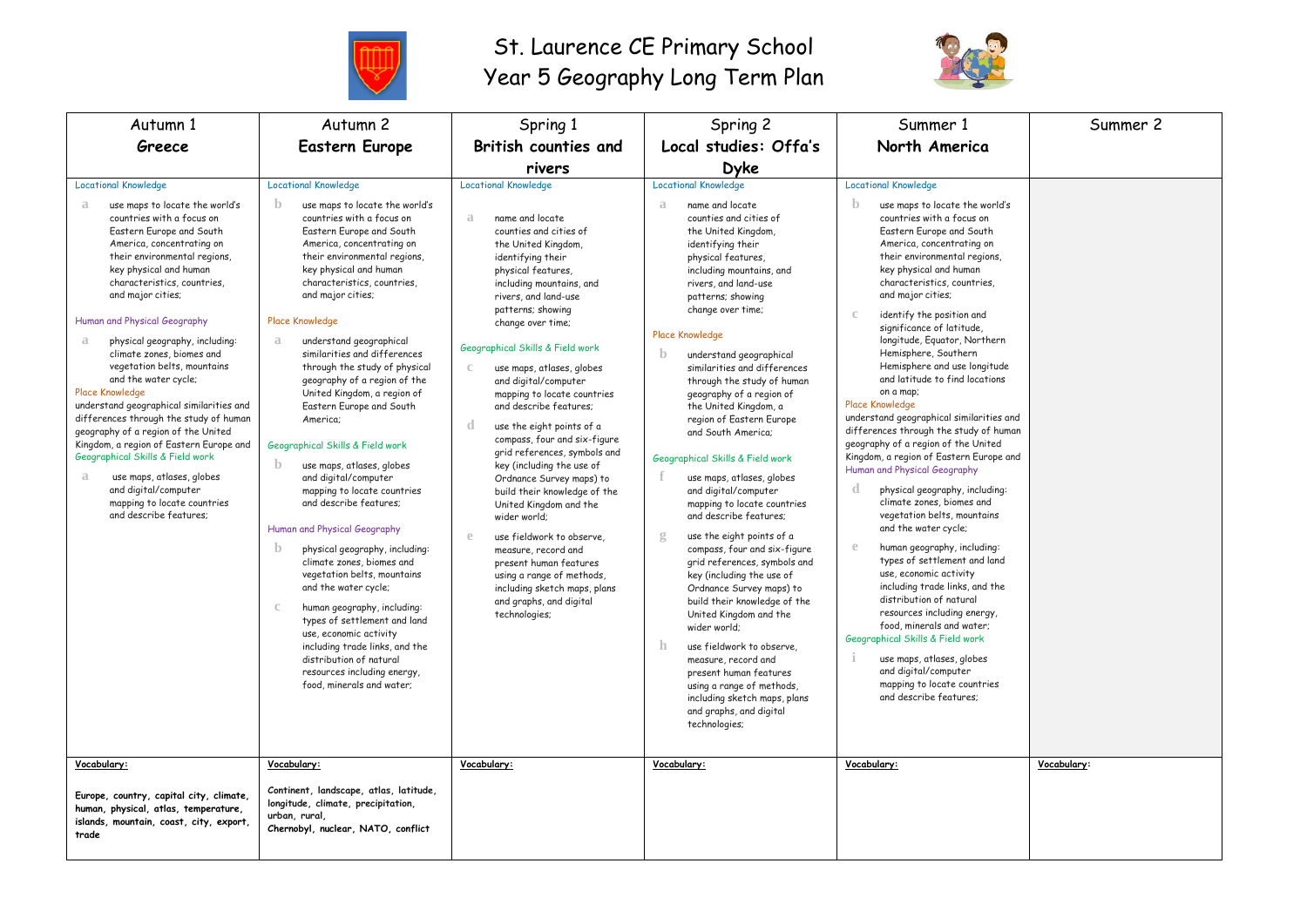

## St. Laurence CE Primary School Year 5 Geography Long Term Plan



| Autumn 1                                                                                                                                                                                                                                                                                                                                                                                                                                                                                                                                                                                                                                                                                                                                                    | Autumn <sub>2</sub>                                                                                                                                                                                                                                                                                                                                                                                                                                                                                                                                                                                                                                                                                                                                                                                                                                                                                                                                                                                                                                           | Spring 1                                                                                                                                                                                                                                                                                                                                                                                                                                                                                                                                                                                                                                                                                                                                                                                                     | Spring 2                                                                                                                                                                                                                                                                                                                                                                                                                                                                                                                                                                                                                                                                                                                                                                                                                                                                                                                                                                                                                                                            | Summer 1                                                                                                                                                                                                                                                                                                                                                                                                                                                                                                                                                                                                                                                                                                                                                                                                                                                                                                                                                                                                                                                                                                                                                                                | Summer 2    |
|-------------------------------------------------------------------------------------------------------------------------------------------------------------------------------------------------------------------------------------------------------------------------------------------------------------------------------------------------------------------------------------------------------------------------------------------------------------------------------------------------------------------------------------------------------------------------------------------------------------------------------------------------------------------------------------------------------------------------------------------------------------|---------------------------------------------------------------------------------------------------------------------------------------------------------------------------------------------------------------------------------------------------------------------------------------------------------------------------------------------------------------------------------------------------------------------------------------------------------------------------------------------------------------------------------------------------------------------------------------------------------------------------------------------------------------------------------------------------------------------------------------------------------------------------------------------------------------------------------------------------------------------------------------------------------------------------------------------------------------------------------------------------------------------------------------------------------------|--------------------------------------------------------------------------------------------------------------------------------------------------------------------------------------------------------------------------------------------------------------------------------------------------------------------------------------------------------------------------------------------------------------------------------------------------------------------------------------------------------------------------------------------------------------------------------------------------------------------------------------------------------------------------------------------------------------------------------------------------------------------------------------------------------------|---------------------------------------------------------------------------------------------------------------------------------------------------------------------------------------------------------------------------------------------------------------------------------------------------------------------------------------------------------------------------------------------------------------------------------------------------------------------------------------------------------------------------------------------------------------------------------------------------------------------------------------------------------------------------------------------------------------------------------------------------------------------------------------------------------------------------------------------------------------------------------------------------------------------------------------------------------------------------------------------------------------------------------------------------------------------|-----------------------------------------------------------------------------------------------------------------------------------------------------------------------------------------------------------------------------------------------------------------------------------------------------------------------------------------------------------------------------------------------------------------------------------------------------------------------------------------------------------------------------------------------------------------------------------------------------------------------------------------------------------------------------------------------------------------------------------------------------------------------------------------------------------------------------------------------------------------------------------------------------------------------------------------------------------------------------------------------------------------------------------------------------------------------------------------------------------------------------------------------------------------------------------------|-------------|
| Greece                                                                                                                                                                                                                                                                                                                                                                                                                                                                                                                                                                                                                                                                                                                                                      | <b>Eastern Europe</b>                                                                                                                                                                                                                                                                                                                                                                                                                                                                                                                                                                                                                                                                                                                                                                                                                                                                                                                                                                                                                                         | <b>British counties and</b>                                                                                                                                                                                                                                                                                                                                                                                                                                                                                                                                                                                                                                                                                                                                                                                  | Local studies: Offa's                                                                                                                                                                                                                                                                                                                                                                                                                                                                                                                                                                                                                                                                                                                                                                                                                                                                                                                                                                                                                                               | North America                                                                                                                                                                                                                                                                                                                                                                                                                                                                                                                                                                                                                                                                                                                                                                                                                                                                                                                                                                                                                                                                                                                                                                           |             |
|                                                                                                                                                                                                                                                                                                                                                                                                                                                                                                                                                                                                                                                                                                                                                             |                                                                                                                                                                                                                                                                                                                                                                                                                                                                                                                                                                                                                                                                                                                                                                                                                                                                                                                                                                                                                                                               | rivers                                                                                                                                                                                                                                                                                                                                                                                                                                                                                                                                                                                                                                                                                                                                                                                                       | <b>Dyke</b>                                                                                                                                                                                                                                                                                                                                                                                                                                                                                                                                                                                                                                                                                                                                                                                                                                                                                                                                                                                                                                                         |                                                                                                                                                                                                                                                                                                                                                                                                                                                                                                                                                                                                                                                                                                                                                                                                                                                                                                                                                                                                                                                                                                                                                                                         |             |
| <b>Locational Knowledge</b>                                                                                                                                                                                                                                                                                                                                                                                                                                                                                                                                                                                                                                                                                                                                 | <b>Locational Knowledge</b>                                                                                                                                                                                                                                                                                                                                                                                                                                                                                                                                                                                                                                                                                                                                                                                                                                                                                                                                                                                                                                   | <b>Locational Knowledge</b>                                                                                                                                                                                                                                                                                                                                                                                                                                                                                                                                                                                                                                                                                                                                                                                  | <b>Locational Knowledge</b>                                                                                                                                                                                                                                                                                                                                                                                                                                                                                                                                                                                                                                                                                                                                                                                                                                                                                                                                                                                                                                         | <b>Locational Knowledge</b>                                                                                                                                                                                                                                                                                                                                                                                                                                                                                                                                                                                                                                                                                                                                                                                                                                                                                                                                                                                                                                                                                                                                                             |             |
| use maps to locate the world's<br>a<br>countries with a focus on<br>Eastern Europe and South<br>America, concentrating on<br>their environmental regions,<br>key physical and human<br>characteristics, countries,<br>and major cities;<br>Human and Physical Geography<br>physical geography, including:<br>a<br>climate zones, biomes and<br>vegetation belts, mountains<br>and the water cycle;<br><b>Place Knowledge</b><br>understand geographical similarities and<br>differences through the study of human<br>geography of a region of the United<br>Kingdom, a region of Eastern Europe and<br>Geographical Skills & Field work<br>use maps, atlases, globes<br>a<br>and digital/computer<br>mapping to locate countries<br>and describe features: | $\mathbf{b}$<br>use maps to locate the world's<br>countries with a focus on<br>Eastern Europe and South<br>America, concentrating on<br>their environmental regions.<br>key physical and human<br>characteristics, countries,<br>and major cities;<br><b>Place Knowledge</b><br>understand geographical<br>a<br>similarities and differences<br>through the study of physical<br>geography of a region of the<br>United Kingdom, a region of<br>Eastern Europe and South<br>America:<br>Geographical Skills & Field work<br>$\mathbf{b}$<br>use maps, atlases, globes<br>and digital/computer<br>mapping to locate countries<br>and describe features;<br>Human and Physical Geography<br>$\mathbf b$<br>physical geography, including:<br>climate zones, biomes and<br>vegetation belts, mountains<br>and the water cycle;<br>human geography, including:<br>$\mathbb{C}$<br>types of settlement and land<br>use, economic activity<br>including trade links, and the<br>distribution of natural<br>resources including energy,<br>food, minerals and water; | name and locate<br>a<br>counties and cities of<br>the United Kingdom,<br>identifying their<br>physical features,<br>including mountains, and<br>rivers, and land-use<br>patterns; showing<br>change over time;<br>Geographical Skills & Field work<br>use maps, atlases, globes<br>and digital/computer<br>mapping to locate countries<br>and describe features:<br>d<br>use the eight points of a<br>compass, four and six-figure<br>grid references, symbols and<br>key (including the use of<br>Ordnance Survey maps) to<br>build their knowledge of the<br>United Kingdom and the<br>wider world;<br>use fieldwork to observe.<br>$\mathbb{P}$<br>measure, record and<br>present human features<br>using a range of methods,<br>including sketch maps, plans<br>and graphs, and digital<br>technologies; | a<br>name and locate<br>counties and cities of<br>the United Kingdom,<br>identifying their<br>physical features,<br>including mountains, and<br>rivers, and land-use<br>patterns; showing<br>change over time;<br><b>Place Knowledge</b><br>$\mathbf{b}$<br>understand geographical<br>similarities and differences<br>through the study of human<br>geography of a region of<br>the United Kingdom, a<br>region of Eastern Europe<br>and South America:<br>Geographical Skills & Field work<br>use maps, atlases, globes<br>and digital/computer<br>mapping to locate countries<br>and describe features:<br>$\mathfrak{L}$<br>use the eight points of a<br>compass, four and six-figure<br>grid references, symbols and<br>key (including the use of<br>Ordnance Survey maps) to<br>build their knowledge of the<br>United Kingdom and the<br>wider world;<br>$\mathbf{h}$<br>use fieldwork to observe.<br>measure, record and<br>present human features<br>using a range of methods,<br>including sketch maps, plans<br>and graphs, and digital<br>technologies; | $\mathbf{b}$<br>use maps to locate the world's<br>countries with a focus on<br>Eastern Europe and South<br>America, concentrating on<br>their environmental regions,<br>key physical and human<br>characteristics, countries,<br>and major cities;<br>identify the position and<br>significance of latitude,<br>longitude, Equator, Northern<br>Hemisphere, Southern<br>Hemisphere and use longitude<br>and latitude to find locations<br>on a map:<br>Place Knowledge<br>understand geographical similarities and<br>differences through the study of human<br>geography of a region of the United<br>Kingdom, a region of Eastern Europe and<br>Human and Physical Geography<br>$\mathbf d$<br>physical geography, including:<br>climate zones, biomes and<br>vegetation belts, mountains<br>and the water cycle;<br>human geography, including:<br>types of settlement and land<br>use, economic activity<br>including trade links, and the<br>distribution of natural<br>resources including energy,<br>food, minerals and water;<br>Geographical Skills & Field work<br>use maps, atlases, globes<br>and digital/computer<br>mapping to locate countries<br>and describe features: |             |
| Vocabulary:                                                                                                                                                                                                                                                                                                                                                                                                                                                                                                                                                                                                                                                                                                                                                 | Vocabulary:                                                                                                                                                                                                                                                                                                                                                                                                                                                                                                                                                                                                                                                                                                                                                                                                                                                                                                                                                                                                                                                   | Vocabulary:                                                                                                                                                                                                                                                                                                                                                                                                                                                                                                                                                                                                                                                                                                                                                                                                  | Vocabulary:                                                                                                                                                                                                                                                                                                                                                                                                                                                                                                                                                                                                                                                                                                                                                                                                                                                                                                                                                                                                                                                         | Vocabulary:                                                                                                                                                                                                                                                                                                                                                                                                                                                                                                                                                                                                                                                                                                                                                                                                                                                                                                                                                                                                                                                                                                                                                                             | Vocabulary: |
| Europe, country, capital city, climate,<br>human, physical, atlas, temperature,<br>islands, mountain, coast, city, export,<br>trade                                                                                                                                                                                                                                                                                                                                                                                                                                                                                                                                                                                                                         | Continent, landscape, atlas, latitude,<br>longitude, climate, precipitation,<br>urban, rural,<br>Chernobyl, nuclear, NATO, conflict                                                                                                                                                                                                                                                                                                                                                                                                                                                                                                                                                                                                                                                                                                                                                                                                                                                                                                                           |                                                                                                                                                                                                                                                                                                                                                                                                                                                                                                                                                                                                                                                                                                                                                                                                              |                                                                                                                                                                                                                                                                                                                                                                                                                                                                                                                                                                                                                                                                                                                                                                                                                                                                                                                                                                                                                                                                     |                                                                                                                                                                                                                                                                                                                                                                                                                                                                                                                                                                                                                                                                                                                                                                                                                                                                                                                                                                                                                                                                                                                                                                                         |             |